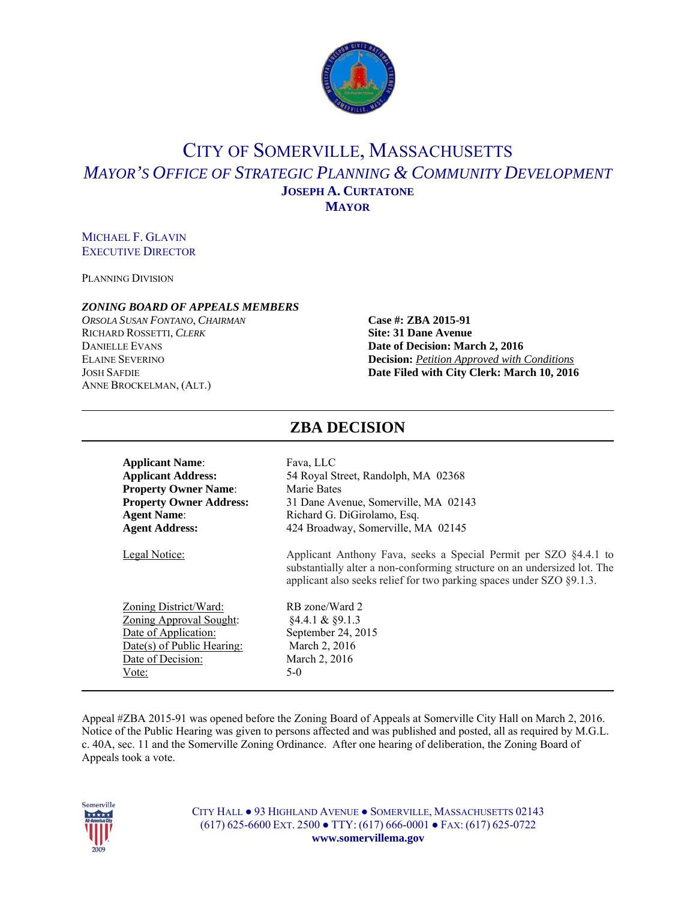

## CITY OF SOMERVILLE, MASSACHUSETTS *MAYOR'S OFFICE OF STRATEGIC PLANNING & COMMUNITY DEVELOPMENT* **JOSEPH A. CURTATONE MAYOR**

#### MICHAEL F. GLAVIN EXECUTIVE DIRECTOR

PLANNING DIVISION

#### *ZONING BOARD OF APPEALS MEMBERS*

*ORSOLA SUSAN FONTANO*, *CHAIRMAN* **Case #: ZBA 2015-91** RICHARD ROSSETTI, *CLERK* **Site: 31 Dane Avenue** ANNE BROCKELMAN, (ALT.)

# DANIELLE EVANS **Date of Decision: March 2, 2016** ELAINE SEVERINO **Decision:** *Petition Approved with Conditions* JOSH SAFDIE **Date Filed with City Clerk: March 10, 2016**

| <b>Applicant Name:</b>         | Fava, LLC                                                                                                                                                                                                            |
|--------------------------------|----------------------------------------------------------------------------------------------------------------------------------------------------------------------------------------------------------------------|
| <b>Applicant Address:</b>      | 54 Royal Street, Randolph, MA 02368                                                                                                                                                                                  |
| <b>Property Owner Name:</b>    | Marie Bates                                                                                                                                                                                                          |
| <b>Property Owner Address:</b> | 31 Dane Avenue, Somerville, MA 02143                                                                                                                                                                                 |
| <b>Agent Name:</b>             | Richard G. DiGirolamo, Esq.                                                                                                                                                                                          |
| <b>Agent Address:</b>          | 424 Broadway, Somerville, MA 02145                                                                                                                                                                                   |
| Legal Notice:                  | Applicant Anthony Fava, seeks a Special Permit per SZO §4.4.1 to<br>substantially alter a non-conforming structure on an undersized lot. The<br>applicant also seeks relief for two parking spaces under SZO §9.1.3. |
| Zoning District/Ward:          | RB zone/Ward 2                                                                                                                                                                                                       |
| <b>Zoning Approval Sought:</b> | $§4.4.1 \& \$9.1.3$                                                                                                                                                                                                  |
| Date of Application:           | September 24, 2015                                                                                                                                                                                                   |
| Date(s) of Public Hearing:     | March 2, 2016                                                                                                                                                                                                        |
| Date of Decision:              | March 2, 2016                                                                                                                                                                                                        |
| Vote:                          | $5-0$                                                                                                                                                                                                                |

Appeal #ZBA 2015-91 was opened before the Zoning Board of Appeals at Somerville City Hall on March 2, 2016. Notice of the Public Hearing was given to persons affected and was published and posted, all as required by M.G.L. c. 40A, sec. 11 and the Somerville Zoning Ordinance. After one hearing of deliberation, the Zoning Board of Appeals took a vote.



CITY HALL ● 93 HIGHLAND AVENUE ● SOMERVILLE, MASSACHUSETTS 02143 (617) 625-6600 EXT. 2500 ● TTY: (617) 666-0001 ● FAX: (617) 625-0722 **www.somervillema.gov** 

### **ZBA DECISION**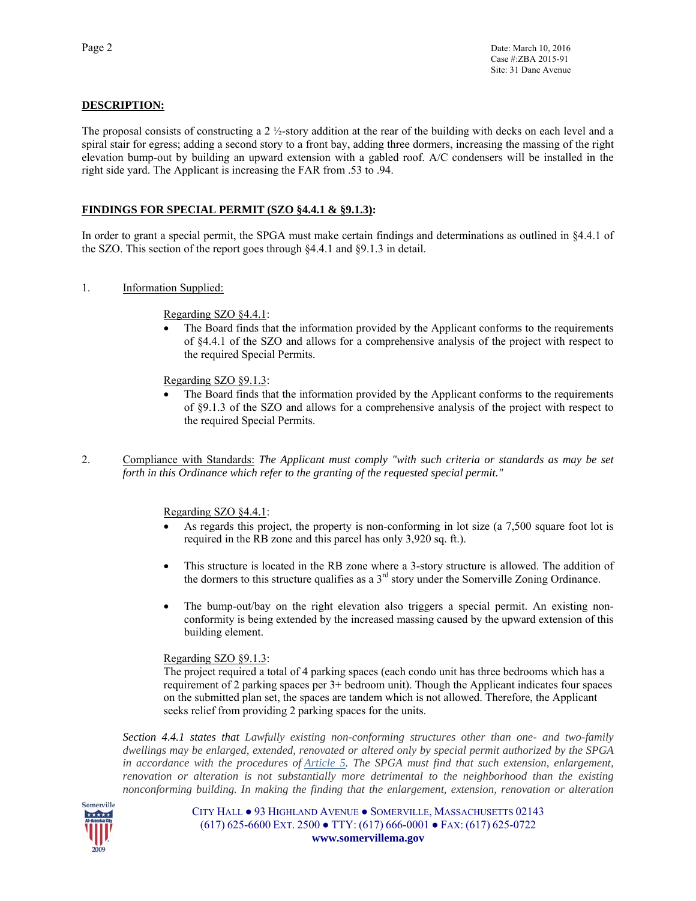#### **DESCRIPTION:**

The proposal consists of constructing a 2 ½-story addition at the rear of the building with decks on each level and a spiral stair for egress; adding a second story to a front bay, adding three dormers, increasing the massing of the right elevation bump-out by building an upward extension with a gabled roof. A/C condensers will be installed in the right side yard. The Applicant is increasing the FAR from .53 to .94.

#### **FINDINGS FOR SPECIAL PERMIT (SZO §4.4.1 & §9.1.3):**

In order to grant a special permit, the SPGA must make certain findings and determinations as outlined in §4.4.1 of the SZO. This section of the report goes through §4.4.1 and §9.1.3 in detail.

1. Information Supplied:

Regarding SZO §4.4.1:

 The Board finds that the information provided by the Applicant conforms to the requirements of §4.4.1 of the SZO and allows for a comprehensive analysis of the project with respect to the required Special Permits.

Regarding SZO §9.1.3:

- The Board finds that the information provided by the Applicant conforms to the requirements of §9.1.3 of the SZO and allows for a comprehensive analysis of the project with respect to the required Special Permits.
- 2. Compliance with Standards: *The Applicant must comply "with such criteria or standards as may be set forth in this Ordinance which refer to the granting of the requested special permit."*

Regarding SZO §4.4.1:

- As regards this project, the property is non-conforming in lot size (a 7,500 square foot lot is required in the RB zone and this parcel has only 3,920 sq. ft.).
- This structure is located in the RB zone where a 3-story structure is allowed. The addition of the dormers to this structure qualifies as a  $3<sup>rd</sup>$  story under the Somerville Zoning Ordinance.
- The bump-out/bay on the right elevation also triggers a special permit. An existing nonconformity is being extended by the increased massing caused by the upward extension of this building element.

#### Regarding SZO §9.1.3:

The project required a total of 4 parking spaces (each condo unit has three bedrooms which has a requirement of 2 parking spaces per 3+ bedroom unit). Though the Applicant indicates four spaces on the submitted plan set, the spaces are tandem which is not allowed. Therefore, the Applicant seeks relief from providing 2 parking spaces for the units.

*Section 4.4.1 states that Lawfully existing non-conforming structures other than one- and two-family dwellings may be enlarged, extended, renovated or altered only by special permit authorized by the SPGA in accordance with the procedures of Article 5. The SPGA must find that such extension, enlargement, renovation or alteration is not substantially more detrimental to the neighborhood than the existing nonconforming building. In making the finding that the enlargement, extension, renovation or alteration* 



CITY HALL ● 93 HIGHLAND AVENUE ● SOMERVILLE, MASSACHUSETTS 02143 (617) 625-6600 EXT. 2500 ● TTY: (617) 666-0001 ● FAX: (617) 625-0722 **www.somervillema.gov**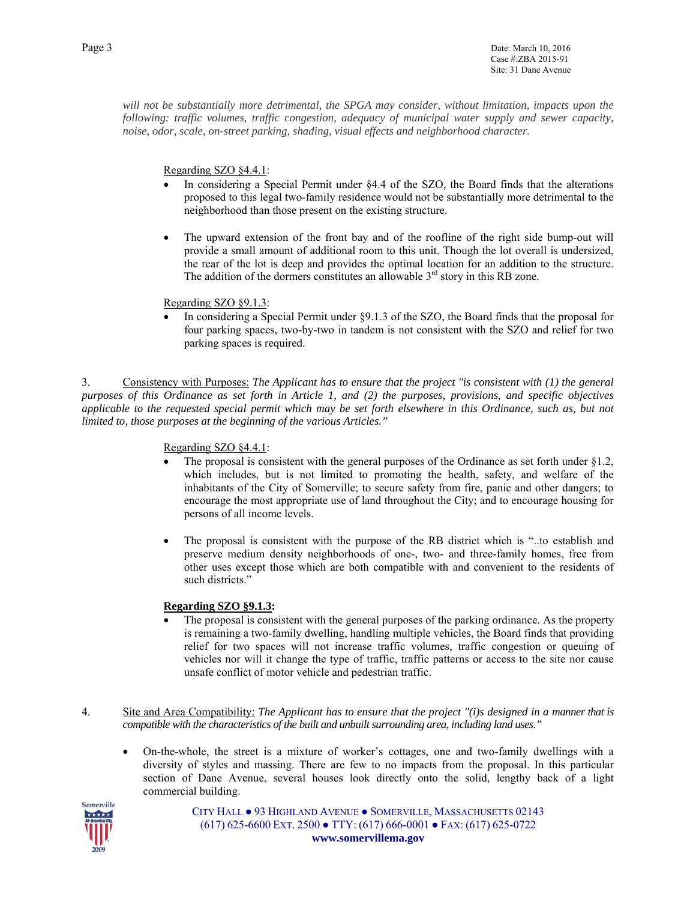*will not be substantially more detrimental, the SPGA may consider, without limitation, impacts upon the following: traffic volumes, traffic congestion, adequacy of municipal water supply and sewer capacity, noise, odor, scale, on-street parking, shading, visual effects and neighborhood character.* 

Regarding SZO §4.4.1:

- In considering a Special Permit under §4.4 of the SZO, the Board finds that the alterations proposed to this legal two-family residence would not be substantially more detrimental to the neighborhood than those present on the existing structure.
- The upward extension of the front bay and of the roofline of the right side bump-out will provide a small amount of additional room to this unit. Though the lot overall is undersized, the rear of the lot is deep and provides the optimal location for an addition to the structure. The addition of the dormers constitutes an allowable  $3<sup>rd</sup>$  story in this RB zone.

Regarding SZO §9.1.3:

 In considering a Special Permit under §9.1.3 of the SZO, the Board finds that the proposal for four parking spaces, two-by-two in tandem is not consistent with the SZO and relief for two parking spaces is required.

3. Consistency with Purposes: *The Applicant has to ensure that the project "is consistent with (1) the general purposes of this Ordinance as set forth in Article 1, and (2) the purposes, provisions, and specific objectives applicable to the requested special permit which may be set forth elsewhere in this Ordinance, such as, but not limited to, those purposes at the beginning of the various Articles."* 

Regarding SZO §4.4.1:

- The proposal is consistent with the general purposes of the Ordinance as set forth under §1.2, which includes, but is not limited to promoting the health, safety, and welfare of the inhabitants of the City of Somerville; to secure safety from fire, panic and other dangers; to encourage the most appropriate use of land throughout the City; and to encourage housing for persons of all income levels.
- The proposal is consistent with the purpose of the RB district which is "..to establish and preserve medium density neighborhoods of one-, two- and three-family homes, free from other uses except those which are both compatible with and convenient to the residents of such districts."

#### **Regarding SZO §9.1.3:**

- The proposal is consistent with the general purposes of the parking ordinance. As the property is remaining a two-family dwelling, handling multiple vehicles, the Board finds that providing relief for two spaces will not increase traffic volumes, traffic congestion or queuing of vehicles nor will it change the type of traffic, traffic patterns or access to the site nor cause unsafe conflict of motor vehicle and pedestrian traffic.
- 4. Site and Area Compatibility: *The Applicant has to ensure that the project "(i)s designed in a manner that is compatible with the characteristics of the built and unbuilt surrounding area, including land uses."*
	- On-the-whole, the street is a mixture of worker's cottages, one and two-family dwellings with a diversity of styles and massing. There are few to no impacts from the proposal. In this particular section of Dane Avenue, several houses look directly onto the solid, lengthy back of a light commercial building.



CITY HALL ● 93 HIGHLAND AVENUE ● SOMERVILLE, MASSACHUSETTS 02143 (617) 625-6600 EXT. 2500 ● TTY: (617) 666-0001 ● FAX: (617) 625-0722 **www.somervillema.gov**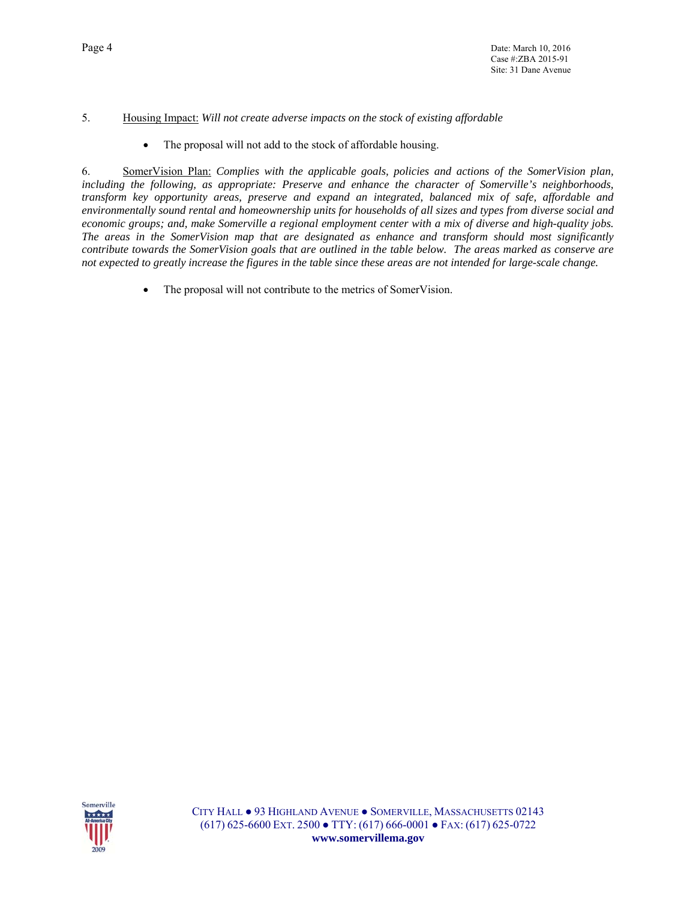#### 5. Housing Impact: *Will not create adverse impacts on the stock of existing affordable*

• The proposal will not add to the stock of affordable housing.

6. SomerVision Plan: *Complies with the applicable goals, policies and actions of the SomerVision plan, including the following, as appropriate: Preserve and enhance the character of Somerville's neighborhoods, transform key opportunity areas, preserve and expand an integrated, balanced mix of safe, affordable and environmentally sound rental and homeownership units for households of all sizes and types from diverse social and economic groups; and, make Somerville a regional employment center with a mix of diverse and high-quality jobs. The areas in the SomerVision map that are designated as enhance and transform should most significantly contribute towards the SomerVision goals that are outlined in the table below. The areas marked as conserve are not expected to greatly increase the figures in the table since these areas are not intended for large-scale change.* 

• The proposal will not contribute to the metrics of SomerVision.

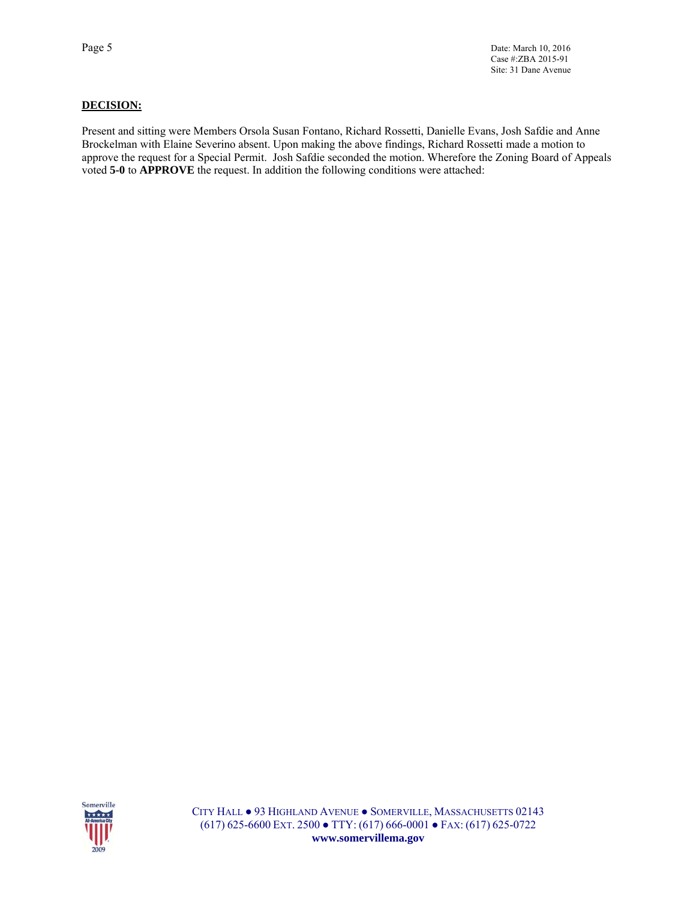#### **DECISION:**

Present and sitting were Members Orsola Susan Fontano, Richard Rossetti, Danielle Evans, Josh Safdie and Anne Brockelman with Elaine Severino absent. Upon making the above findings, Richard Rossetti made a motion to approve the request for a Special Permit. Josh Safdie seconded the motion. Wherefore the Zoning Board of Appeals voted **5-0** to **APPROVE** the request. In addition the following conditions were attached:

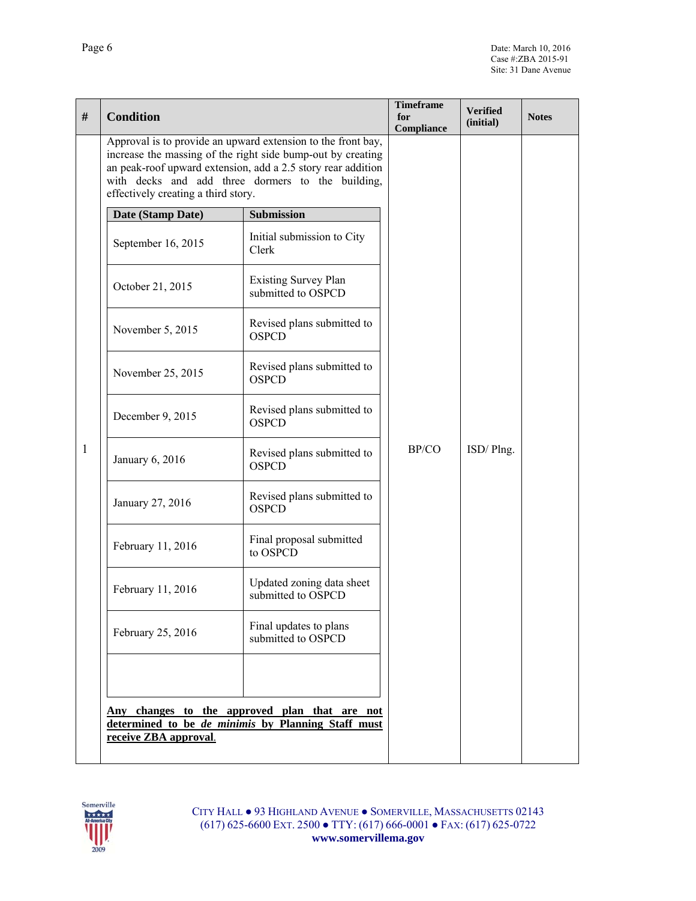| #            | <b>Condition</b>                                                                                                                                                                                                                                                                        |                                                   | <b>Timeframe</b><br>for<br>Compliance | <b>Verified</b><br>(initial) | <b>Notes</b> |
|--------------|-----------------------------------------------------------------------------------------------------------------------------------------------------------------------------------------------------------------------------------------------------------------------------------------|---------------------------------------------------|---------------------------------------|------------------------------|--------------|
| $\mathbf{1}$ | Approval is to provide an upward extension to the front bay,<br>increase the massing of the right side bump-out by creating<br>an peak-roof upward extension, add a 2.5 story rear addition<br>with decks and add three dormers to the building,<br>effectively creating a third story. |                                                   |                                       |                              |              |
|              | Date (Stamp Date)                                                                                                                                                                                                                                                                       | <b>Submission</b>                                 | BP/CO                                 | ISD/Plng.                    |              |
|              | September 16, 2015                                                                                                                                                                                                                                                                      | Initial submission to City<br>Clerk               |                                       |                              |              |
|              | October 21, 2015                                                                                                                                                                                                                                                                        | <b>Existing Survey Plan</b><br>submitted to OSPCD |                                       |                              |              |
|              | November 5, 2015                                                                                                                                                                                                                                                                        | Revised plans submitted to<br><b>OSPCD</b>        |                                       |                              |              |
|              | November 25, 2015                                                                                                                                                                                                                                                                       | Revised plans submitted to<br><b>OSPCD</b>        |                                       |                              |              |
|              | December 9, 2015                                                                                                                                                                                                                                                                        | Revised plans submitted to<br><b>OSPCD</b>        |                                       |                              |              |
|              | January 6, 2016                                                                                                                                                                                                                                                                         | Revised plans submitted to<br><b>OSPCD</b>        |                                       |                              |              |
|              | January 27, 2016                                                                                                                                                                                                                                                                        | Revised plans submitted to<br><b>OSPCD</b>        |                                       |                              |              |
|              | February 11, 2016                                                                                                                                                                                                                                                                       | Final proposal submitted<br>to OSPCD              |                                       |                              |              |
|              | February 11, 2016                                                                                                                                                                                                                                                                       | Updated zoning data sheet<br>submitted to OSPCD   |                                       |                              |              |
|              | February 25, 2016                                                                                                                                                                                                                                                                       | Final updates to plans<br>submitted to OSPCD      |                                       |                              |              |
|              |                                                                                                                                                                                                                                                                                         |                                                   |                                       |                              |              |
|              | <u>Any changes to the approved plan that are not</u><br>determined to be de minimis by Planning Staff must<br>receive ZBA approval.                                                                                                                                                     |                                                   |                                       |                              |              |

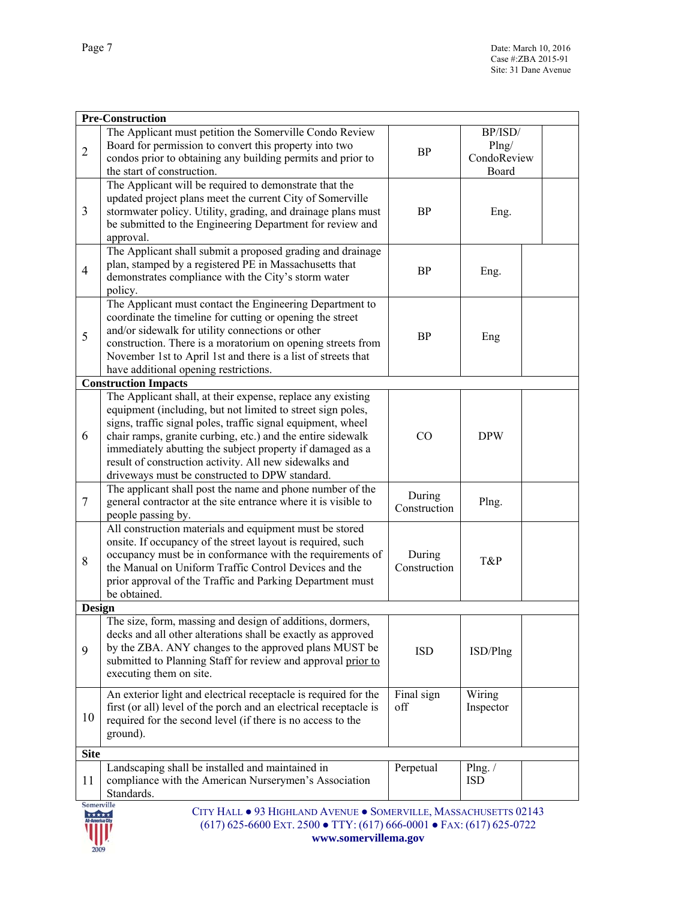|                            | <b>Pre-Construction</b>                                                                                                                                                                                                                                                                                                                                                                                                            |                        |                                          |  |
|----------------------------|------------------------------------------------------------------------------------------------------------------------------------------------------------------------------------------------------------------------------------------------------------------------------------------------------------------------------------------------------------------------------------------------------------------------------------|------------------------|------------------------------------------|--|
| $\overline{2}$             | The Applicant must petition the Somerville Condo Review<br>Board for permission to convert this property into two<br>condos prior to obtaining any building permits and prior to<br>the start of construction.                                                                                                                                                                                                                     | <b>BP</b>              | BP/ISD/<br>Plng/<br>CondoReview<br>Board |  |
| $\mathfrak{Z}$             | The Applicant will be required to demonstrate that the<br>updated project plans meet the current City of Somerville<br>stormwater policy. Utility, grading, and drainage plans must<br>be submitted to the Engineering Department for review and<br>approval.                                                                                                                                                                      | BP                     | Eng.                                     |  |
| $\overline{4}$             | The Applicant shall submit a proposed grading and drainage<br>plan, stamped by a registered PE in Massachusetts that<br>demonstrates compliance with the City's storm water<br>policy.                                                                                                                                                                                                                                             | BP                     | Eng.                                     |  |
| 5                          | The Applicant must contact the Engineering Department to<br>coordinate the timeline for cutting or opening the street<br>and/or sidewalk for utility connections or other<br>construction. There is a moratorium on opening streets from<br>November 1st to April 1st and there is a list of streets that<br>have additional opening restrictions.                                                                                 | <b>BP</b>              | Eng                                      |  |
|                            | <b>Construction Impacts</b>                                                                                                                                                                                                                                                                                                                                                                                                        |                        |                                          |  |
| 6                          | The Applicant shall, at their expense, replace any existing<br>equipment (including, but not limited to street sign poles,<br>signs, traffic signal poles, traffic signal equipment, wheel<br>chair ramps, granite curbing, etc.) and the entire sidewalk<br>immediately abutting the subject property if damaged as a<br>result of construction activity. All new sidewalks and<br>driveways must be constructed to DPW standard. | CO                     | <b>DPW</b>                               |  |
| 7                          | The applicant shall post the name and phone number of the<br>general contractor at the site entrance where it is visible to<br>people passing by.                                                                                                                                                                                                                                                                                  | During<br>Construction | Plng.                                    |  |
| 8                          | All construction materials and equipment must be stored<br>onsite. If occupancy of the street layout is required, such<br>occupancy must be in conformance with the requirements of<br>the Manual on Uniform Traffic Control Devices and the<br>prior approval of the Traffic and Parking Department must<br>be obtained.                                                                                                          | During<br>Construction | T&P                                      |  |
| Design                     |                                                                                                                                                                                                                                                                                                                                                                                                                                    |                        |                                          |  |
| 9                          | The size, form, massing and design of additions, dormers,<br>decks and all other alterations shall be exactly as approved<br>by the ZBA. ANY changes to the approved plans MUST be<br>submitted to Planning Staff for review and approval prior to<br>executing them on site.                                                                                                                                                      | <b>ISD</b>             | ISD/Plng                                 |  |
| 10                         | An exterior light and electrical receptacle is required for the<br>first (or all) level of the porch and an electrical receptacle is<br>required for the second level (if there is no access to the<br>ground).                                                                                                                                                                                                                    | Final sign<br>off      | Wiring<br>Inspector                      |  |
| <b>Site</b>                |                                                                                                                                                                                                                                                                                                                                                                                                                                    |                        |                                          |  |
| 11                         | Landscaping shall be installed and maintained in<br>compliance with the American Nurserymen's Association<br>Standards.                                                                                                                                                                                                                                                                                                            | Perpetual              | Plng. $/$<br><b>ISD</b>                  |  |
| <b>Somerville</b><br>***** | CITY HALL . 93 HIGHLAND AVENUE . SOMERVILLE, MASSACHUSETTS 02143<br>$(617)$ 625-6600 EXT. 2500 • TTY: $(617)$ 666-0001 • FAX: $(617)$ 625-0722<br>www.somervillema.gov                                                                                                                                                                                                                                                             |                        |                                          |  |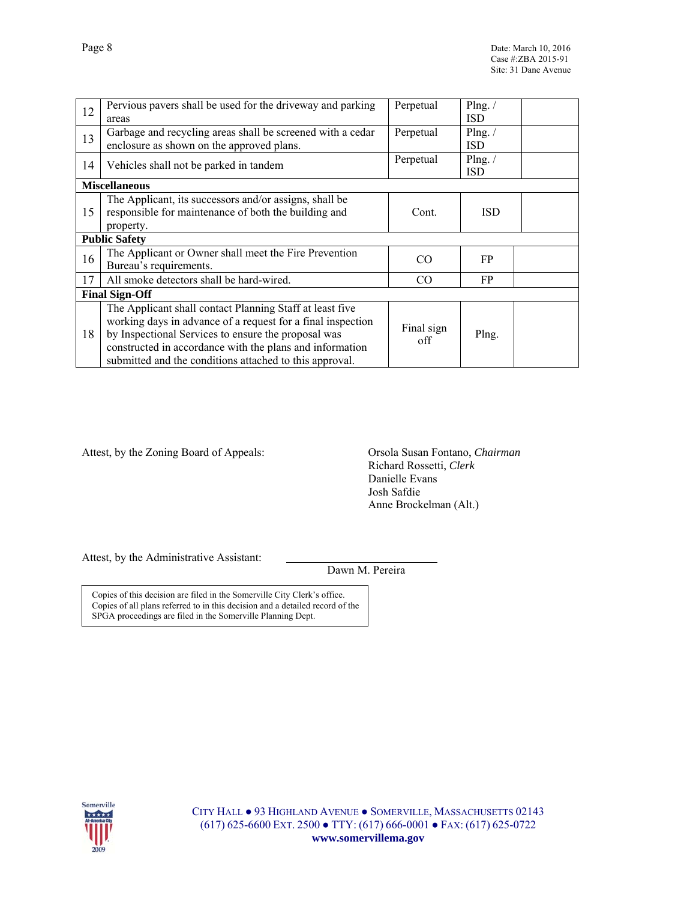| 12 | Pervious pavers shall be used for the driveway and parking  | Perpetual  | Plng. $/$  |  |
|----|-------------------------------------------------------------|------------|------------|--|
|    | areas                                                       |            | <b>ISD</b> |  |
| 13 | Garbage and recycling areas shall be screened with a cedar  | Perpetual  | Plng. $/$  |  |
|    | enclosure as shown on the approved plans.                   |            | <b>ISD</b> |  |
| 14 | Vehicles shall not be parked in tandem                      | Perpetual  | Plng. $/$  |  |
|    |                                                             |            | <b>ISD</b> |  |
|    | <b>Miscellaneous</b>                                        |            |            |  |
| 15 | The Applicant, its successors and/or assigns, shall be      |            |            |  |
|    | responsible for maintenance of both the building and        | Cont.      | <b>ISD</b> |  |
|    | property.                                                   |            |            |  |
|    | <b>Public Safety</b>                                        |            |            |  |
|    | The Applicant or Owner shall meet the Fire Prevention       | CO.        | FP.        |  |
| 16 | Bureau's requirements.                                      |            |            |  |
| 17 | All smoke detectors shall be hard-wired.                    | CO.        | FP.        |  |
|    | <b>Final Sign-Off</b>                                       |            |            |  |
|    | The Applicant shall contact Planning Staff at least five    |            |            |  |
| 18 | working days in advance of a request for a final inspection | Final sign | Plng.      |  |
|    | by Inspectional Services to ensure the proposal was         |            |            |  |
|    | constructed in accordance with the plans and information    | off        |            |  |
|    | submitted and the conditions attached to this approval.     |            |            |  |

Attest, by the Zoning Board of Appeals: Orsola Susan Fontano, *Chairman*

 Richard Rossetti, *Clerk* Danielle Evans Josh Safdie Anne Brockelman (Alt.)

Attest, by the Administrative Assistant:

Dawn M. Pereira

Copies of this decision are filed in the Somerville City Clerk's office. Copies of all plans referred to in this decision and a detailed record of the SPGA proceedings are filed in the Somerville Planning Dept.



CITY HALL ● 93 HIGHLAND AVENUE ● SOMERVILLE, MASSACHUSETTS 02143 (617) 625-6600 EXT. 2500 ● TTY: (617) 666-0001 ● FAX: (617) 625-0722 **www.somervillema.gov**